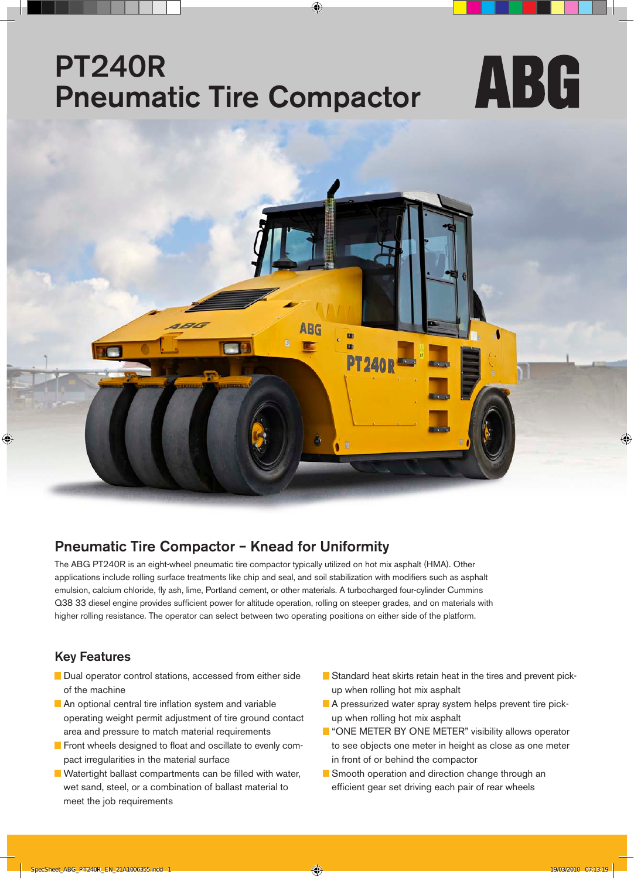## PT240R ABG Pneumatic Tire Compactor



### Pneumatic Tire Compactor – Knead for Uniformity

The ABG PT240R is an eight-wheel pneumatic tire compactor typically utilized on hot mix asphalt (HMA). Other applications include rolling surface treatments like chip and seal, and soil stabilization with modifiers such as asphalt emulsion, calcium chloride, fly ash, lime, Portland cement, or other materials. A turbocharged four-cylinder Cummins Q38 33 diesel engine provides sufficient power for altitude operation, rolling on steeper grades, and on materials with higher rolling resistance. The operator can select between two operating positions on either side of the platform.

### Key Features

- Dual operator control stations, accessed from either side of the machine
- An optional central tire inflation system and variable operating weight permit adjustment of tire ground contact area and pressure to match material requirements
- **F** Front wheels designed to float and oscillate to evenly compact irregularities in the material surface
- **N** Watertight ballast compartments can be filled with water, wet sand, steel, or a combination of ballast material to meet the job requirements
- Standard heat skirts retain heat in the tires and prevent pickup when rolling hot mix asphalt
- A pressurized water spray system helps prevent tire pickup when rolling hot mix asphalt
- **T** "ONE METER BY ONE METER" visibility allows operator to see objects one meter in height as close as one meter in front of or behind the compactor
- Smooth operation and direction change through an efficient gear set driving each pair of rear wheels